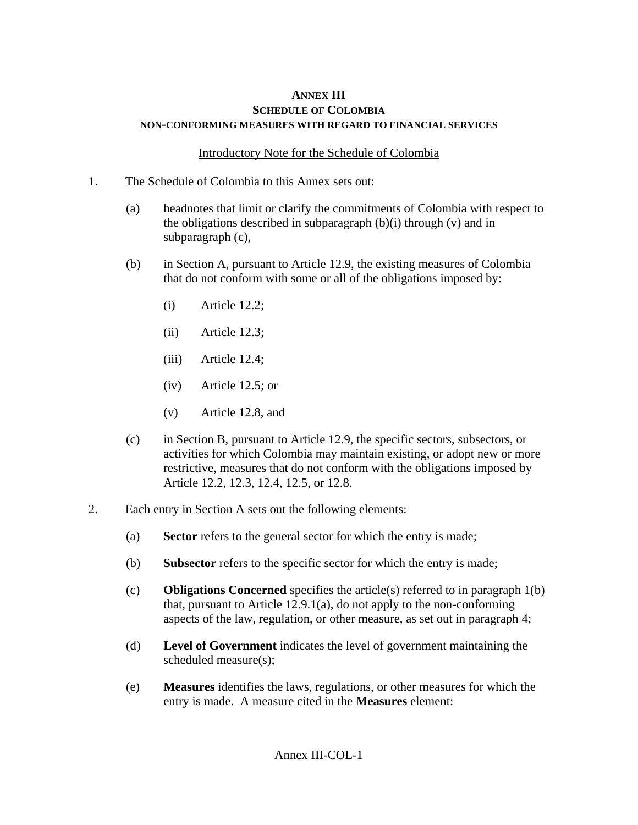# **ANNEX III SCHEDULE OF COLOMBIA NON-CONFORMING MEASURES WITH REGARD TO FINANCIAL SERVICES**

# Introductory Note for the Schedule of Colombia

- 1. The Schedule of Colombia to this Annex sets out:
	- (a) headnotes that limit or clarify the commitments of Colombia with respect to the obligations described in subparagraph  $(b)(i)$  through  $(v)$  and in subparagraph (c),
	- (b) in Section A, pursuant to Article 12.9, the existing measures of Colombia that do not conform with some or all of the obligations imposed by:
		- (i) Article 12.2;
		- (ii) Article 12.3;
		- (iii) Article 12.4;
		- (iv) Article 12.5; or
		- (v) Article 12.8, and
	- (c) in Section B, pursuant to Article 12.9, the specific sectors, subsectors, or activities for which Colombia may maintain existing, or adopt new or more restrictive, measures that do not conform with the obligations imposed by Article 12.2, 12.3, 12.4, 12.5, or 12.8.
- 2. Each entry in Section A sets out the following elements:
	- (a) **Sector** refers to the general sector for which the entry is made;
	- (b) **Subsector** refers to the specific sector for which the entry is made;
	- (c) **Obligations Concerned** specifies the article(s) referred to in paragraph 1(b) that, pursuant to Article 12.9.1(a), do not apply to the non-conforming aspects of the law, regulation, or other measure, as set out in paragraph 4;
	- (d) **Level of Government** indicates the level of government maintaining the scheduled measure(s);
	- (e) **Measures** identifies the laws, regulations, or other measures for which the entry is made. A measure cited in the **Measures** element: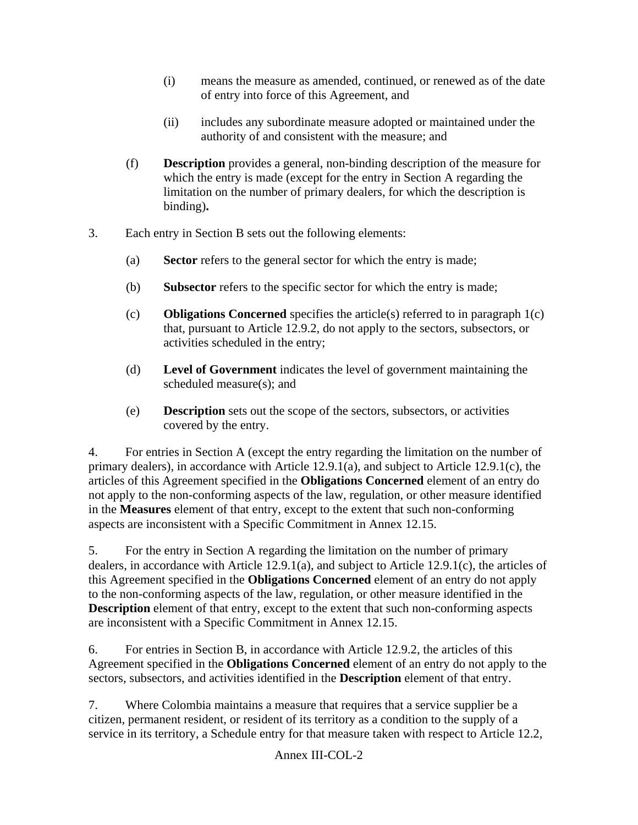- (i) means the measure as amended, continued, or renewed as of the date of entry into force of this Agreement, and
- (ii) includes any subordinate measure adopted or maintained under the authority of and consistent with the measure; and
- (f) **Description** provides a general, non-binding description of the measure for which the entry is made (except for the entry in Section A regarding the limitation on the number of primary dealers, for which the description is binding)**.**
- 3. Each entry in Section B sets out the following elements:
	- (a) **Sector** refers to the general sector for which the entry is made;
	- (b) **Subsector** refers to the specific sector for which the entry is made;
	- (c) **Obligations Concerned** specifies the article(s) referred to in paragraph 1(c) that, pursuant to Article 12.9.2, do not apply to the sectors, subsectors, or activities scheduled in the entry;
	- (d) **Level of Government** indicates the level of government maintaining the scheduled measure(s); and
	- (e) **Description** sets out the scope of the sectors, subsectors, or activities covered by the entry.

4. For entries in Section A (except the entry regarding the limitation on the number of primary dealers), in accordance with Article 12.9.1(a), and subject to Article 12.9.1(c), the articles of this Agreement specified in the **Obligations Concerned** element of an entry do not apply to the non-conforming aspects of the law, regulation, or other measure identified in the **Measures** element of that entry, except to the extent that such non-conforming aspects are inconsistent with a Specific Commitment in Annex 12.15.

5. For the entry in Section A regarding the limitation on the number of primary dealers, in accordance with Article 12.9.1(a), and subject to Article 12.9.1(c), the articles of this Agreement specified in the **Obligations Concerned** element of an entry do not apply to the non-conforming aspects of the law, regulation, or other measure identified in the **Description** element of that entry, except to the extent that such non-conforming aspects are inconsistent with a Specific Commitment in Annex 12.15.

6. For entries in Section B, in accordance with Article 12.9.2, the articles of this Agreement specified in the **Obligations Concerned** element of an entry do not apply to the sectors, subsectors, and activities identified in the **Description** element of that entry.

7. Where Colombia maintains a measure that requires that a service supplier be a citizen, permanent resident, or resident of its territory as a condition to the supply of a service in its territory, a Schedule entry for that measure taken with respect to Article 12.2,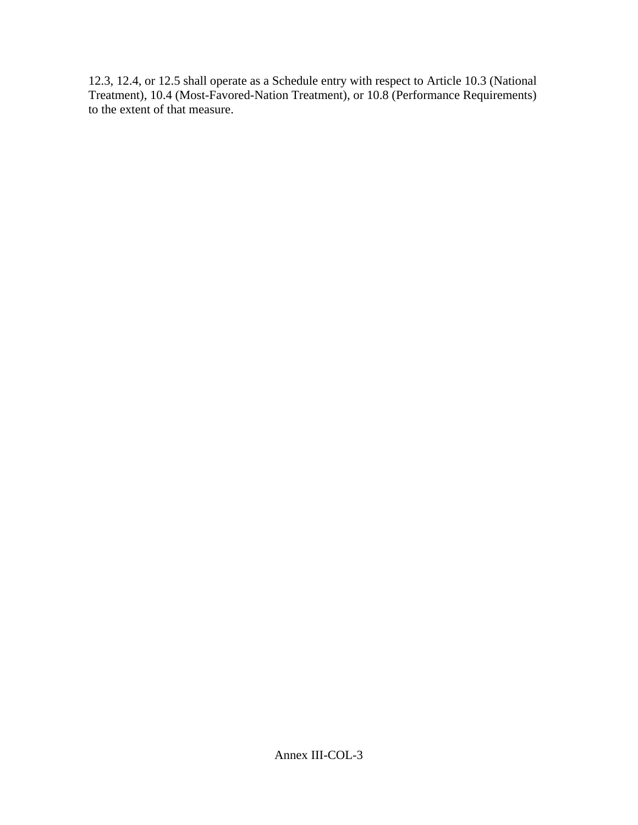12.3, 12.4, or 12.5 shall operate as a Schedule entry with respect to Article 10.3 (National Treatment), 10.4 (Most-Favored-Nation Treatment), or 10.8 (Performance Requirements) to the extent of that measure.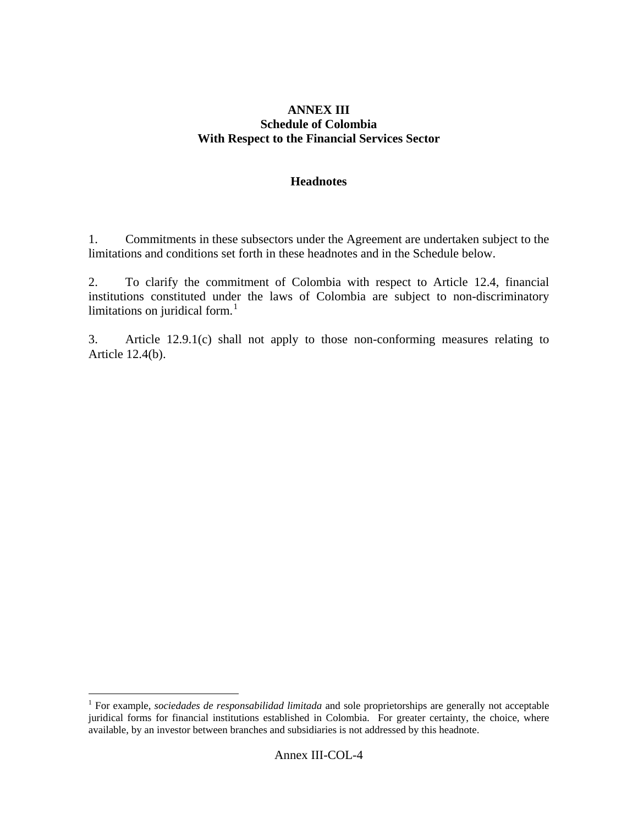## **ANNEX III Schedule of Colombia With Respect to the Financial Services Sector**

### **Headnotes**

1. Commitments in these subsectors under the Agreement are undertaken subject to the limitations and conditions set forth in these headnotes and in the Schedule below.

2. To clarify the commitment of Colombia with respect to Article 12.4, financial institutions constituted under the laws of Colombia are subject to non-discriminatory limitations on juridical form. $<sup>1</sup>$  $<sup>1</sup>$  $<sup>1</sup>$ </sup>

3. Article 12.9.1(c) shall not apply to those non-conforming measures relating to Article 12.4(b).

<u>.</u>

<span id="page-3-0"></span><sup>&</sup>lt;sup>1</sup> For example, *sociedades de responsabilidad limitada* and sole proprietorships are generally not acceptable juridical forms for financial institutions established in Colombia. For greater certainty, the choice, where available, by an investor between branches and subsidiaries is not addressed by this headnote.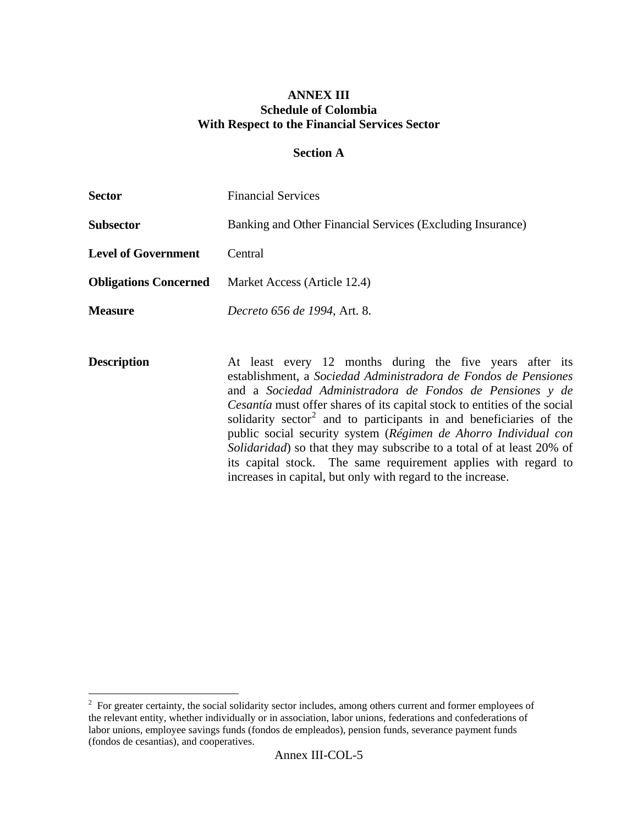## **ANNEX III Schedule of Colombia With Respect to the Financial Services Sector**

#### **Section A**

| <b>Sector</b>              | <b>Financial Services</b>                                                                                                                                                                                                                                                                                                                                                                                                                                                                                                                                                                                                                   |  |
|----------------------------|---------------------------------------------------------------------------------------------------------------------------------------------------------------------------------------------------------------------------------------------------------------------------------------------------------------------------------------------------------------------------------------------------------------------------------------------------------------------------------------------------------------------------------------------------------------------------------------------------------------------------------------------|--|
| <b>Subsector</b>           | Banking and Other Financial Services (Excluding Insurance)                                                                                                                                                                                                                                                                                                                                                                                                                                                                                                                                                                                  |  |
| <b>Level of Government</b> | Central                                                                                                                                                                                                                                                                                                                                                                                                                                                                                                                                                                                                                                     |  |
|                            | <b>Obligations Concerned</b> Market Access (Article 12.4)                                                                                                                                                                                                                                                                                                                                                                                                                                                                                                                                                                                   |  |
| <b>Measure</b>             | Decreto 656 de 1994, Art. 8.                                                                                                                                                                                                                                                                                                                                                                                                                                                                                                                                                                                                                |  |
| <b>Description</b>         | At least every 12 months during the five years after its<br>establishment, a Sociedad Administradora de Fondos de Pensiones<br>and a Sociedad Administradora de Fondos de Pensiones y de<br><i>Cesantía</i> must offer shares of its capital stock to entities of the social<br>solidarity sector <sup>2</sup> and to participants in and beneficiaries of the<br>public social security system (Régimen de Ahorro Individual con<br>Solidaridad) so that they may subscribe to a total of at least 20% of<br>its capital stock. The same requirement applies with regard to<br>increases in capital, but only with regard to the increase. |  |

<span id="page-4-0"></span><sup>&</sup>lt;sup>2</sup> For greater certainty, the social solidarity sector includes, among others current and former employees of the relevant entity, whether individually or in association, labor unions, federations and confederations of labor unions, employee savings funds (fondos de empleados), pension funds, severance payment funds (fondos de cesantias), and cooperatives.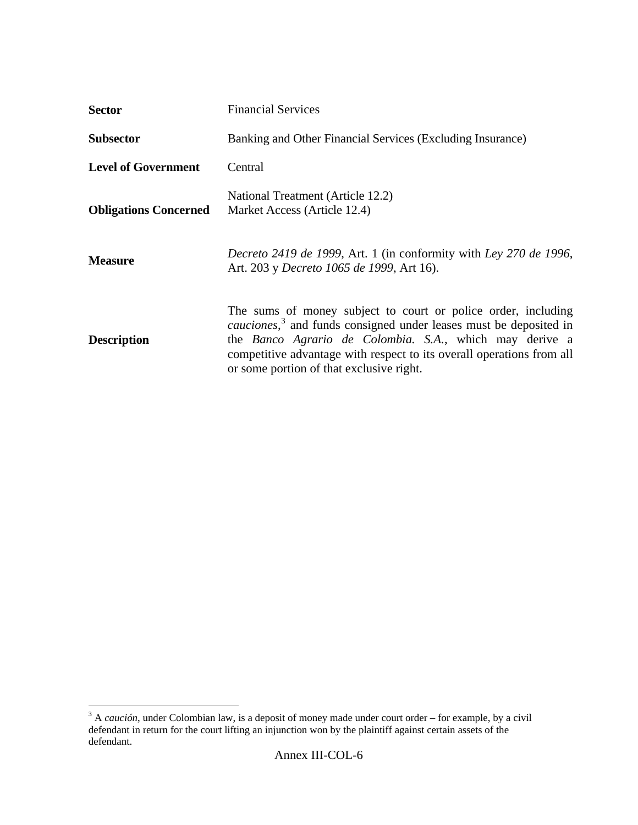| <b>Sector</b>                | <b>Financial Services</b>                                                                                                                                                                                                                                                                                                              |  |
|------------------------------|----------------------------------------------------------------------------------------------------------------------------------------------------------------------------------------------------------------------------------------------------------------------------------------------------------------------------------------|--|
| <b>Subsector</b>             | Banking and Other Financial Services (Excluding Insurance)                                                                                                                                                                                                                                                                             |  |
| <b>Level of Government</b>   | Central                                                                                                                                                                                                                                                                                                                                |  |
| <b>Obligations Concerned</b> | National Treatment (Article 12.2)<br>Market Access (Article 12.4)                                                                                                                                                                                                                                                                      |  |
| <b>Measure</b>               | Decreto 2419 de 1999, Art. 1 (in conformity with Ley 270 de 1996,<br>Art. 203 y Decreto 1065 de 1999, Art 16).                                                                                                                                                                                                                         |  |
| <b>Description</b>           | The sums of money subject to court or police order, including<br><i>cauciones</i> , <sup>3</sup> and funds consigned under leases must be deposited in<br>the Banco Agrario de Colombia. S.A., which may derive a<br>competitive advantage with respect to its overall operations from all<br>or some portion of that exclusive right. |  |

<span id="page-5-0"></span><sup>&</sup>lt;sup>3</sup> A *caución*, under Colombian law, is a deposit of money made under court order – for example, by a civil defendant in return for the court lifting an injunction won by the plaintiff against certain assets of the defendant.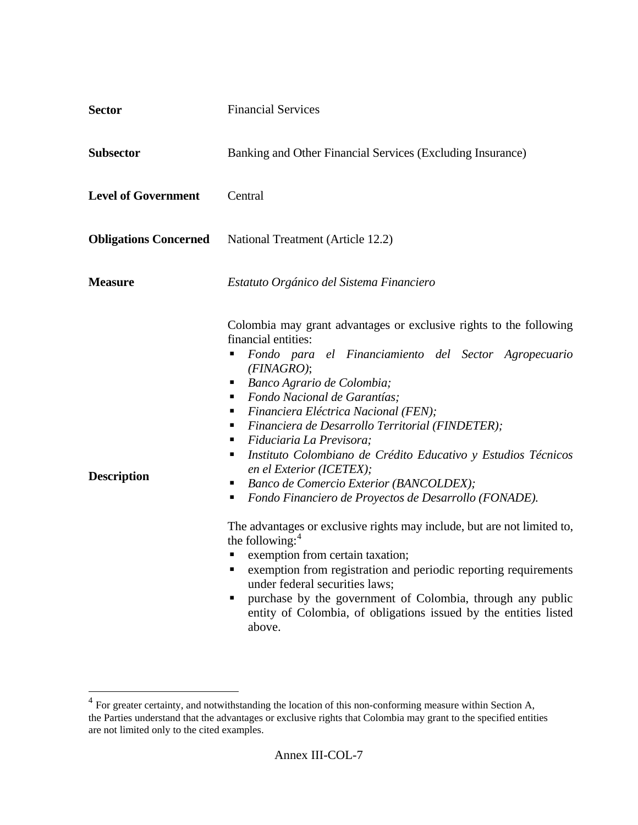| <b>Sector</b>                | <b>Financial Services</b>                                                                                                                                                                                                                                                                                                                                                                                                                                                                                                                                                                                                                                                                                                                                                                                                                                                                                                                                                                    |  |  |
|------------------------------|----------------------------------------------------------------------------------------------------------------------------------------------------------------------------------------------------------------------------------------------------------------------------------------------------------------------------------------------------------------------------------------------------------------------------------------------------------------------------------------------------------------------------------------------------------------------------------------------------------------------------------------------------------------------------------------------------------------------------------------------------------------------------------------------------------------------------------------------------------------------------------------------------------------------------------------------------------------------------------------------|--|--|
| <b>Subsector</b>             | Banking and Other Financial Services (Excluding Insurance)                                                                                                                                                                                                                                                                                                                                                                                                                                                                                                                                                                                                                                                                                                                                                                                                                                                                                                                                   |  |  |
| <b>Level of Government</b>   | Central                                                                                                                                                                                                                                                                                                                                                                                                                                                                                                                                                                                                                                                                                                                                                                                                                                                                                                                                                                                      |  |  |
| <b>Obligations Concerned</b> | National Treatment (Article 12.2)                                                                                                                                                                                                                                                                                                                                                                                                                                                                                                                                                                                                                                                                                                                                                                                                                                                                                                                                                            |  |  |
| <b>Measure</b>               | Estatuto Orgánico del Sistema Financiero                                                                                                                                                                                                                                                                                                                                                                                                                                                                                                                                                                                                                                                                                                                                                                                                                                                                                                                                                     |  |  |
| <b>Description</b>           | Colombia may grant advantages or exclusive rights to the following<br>financial entities:<br>el Financiamiento del Sector Agropecuario<br>Fondo para<br>п<br>(FINAGRO);<br>Banco Agrario de Colombia;<br>٠<br>Fondo Nacional de Garantías;<br>٠<br>Financiera Eléctrica Nacional (FEN);<br>٠<br>Financiera de Desarrollo Territorial (FINDETER);<br>Fiduciaria La Previsora;<br>Instituto Colombiano de Crédito Educativo y Estudios Técnicos<br>٠<br>en el Exterior (ICETEX);<br>Banco de Comercio Exterior (BANCOLDEX);<br>٠<br>Fondo Financiero de Proyectos de Desarrollo (FONADE).<br>ш<br>The advantages or exclusive rights may include, but are not limited to,<br>the following: $4$<br>exemption from certain taxation;<br>٠<br>exemption from registration and periodic reporting requirements<br>under federal securities laws;<br>purchase by the government of Colombia, through any public<br>Ξ<br>entity of Colombia, of obligations issued by the entities listed<br>above. |  |  |

<u>.</u>

<span id="page-6-0"></span> $4\,$  For greater certainty, and notwithstanding the location of this non-conforming measure within Section A, the Parties understand that the advantages or exclusive rights that Colombia may grant to the specified entities are not limited only to the cited examples.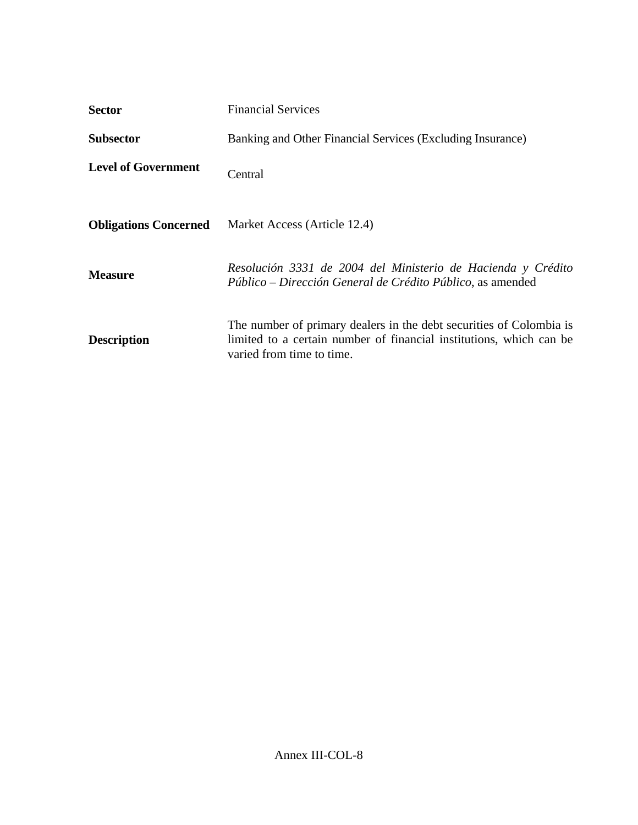| <b>Sector</b>                | <b>Financial Services</b>                                                                                                                                               |  |
|------------------------------|-------------------------------------------------------------------------------------------------------------------------------------------------------------------------|--|
| <b>Subsector</b>             | Banking and Other Financial Services (Excluding Insurance)                                                                                                              |  |
| <b>Level of Government</b>   | Central                                                                                                                                                                 |  |
| <b>Obligations Concerned</b> | Market Access (Article 12.4)                                                                                                                                            |  |
| <b>Measure</b>               | Resolución 3331 de 2004 del Ministerio de Hacienda y Crédito<br>Público – Dirección General de Crédito Público, as amended                                              |  |
| <b>Description</b>           | The number of primary dealers in the debt securities of Colombia is<br>limited to a certain number of financial institutions, which can be<br>varied from time to time. |  |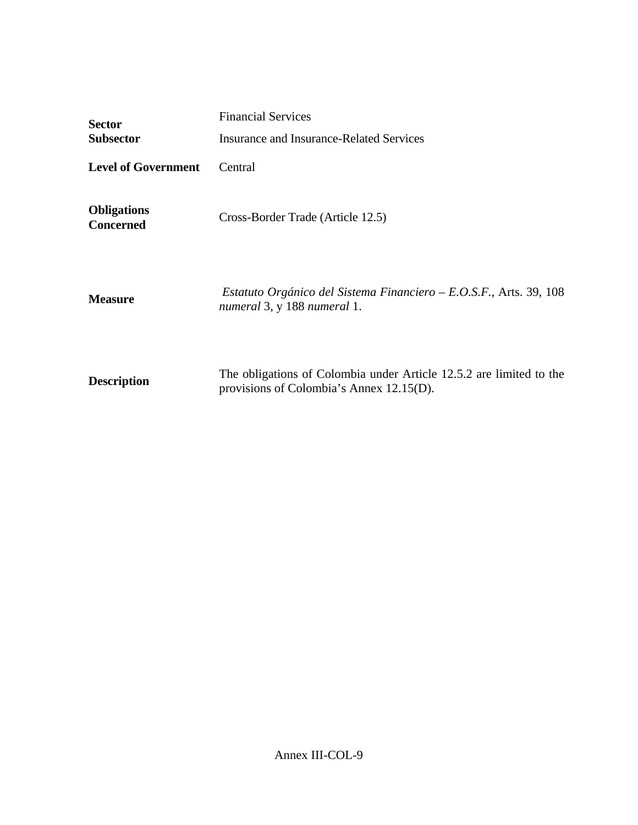| <b>Sector</b><br><b>Subsector</b>      | <b>Financial Services</b><br><b>Insurance and Insurance-Related Services</b><br>Central                         |  |
|----------------------------------------|-----------------------------------------------------------------------------------------------------------------|--|
| <b>Level of Government</b>             |                                                                                                                 |  |
| <b>Obligations</b><br><b>Concerned</b> | Cross-Border Trade (Article 12.5)                                                                               |  |
| <b>Measure</b>                         | Estatuto Orgánico del Sistema Financiero – E.O.S.F., Arts. 39, 108<br>numeral 3, y 188 numeral 1.               |  |
| <b>Description</b>                     | The obligations of Colombia under Article 12.5.2 are limited to the<br>provisions of Colombia's Annex 12.15(D). |  |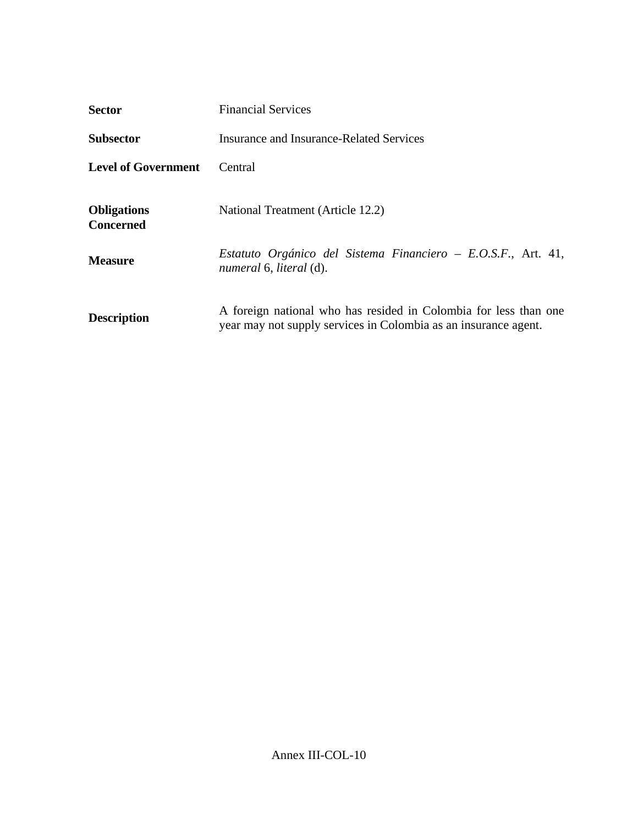| <b>Sector</b>                          | <b>Financial Services</b>                                                                                                           |  |
|----------------------------------------|-------------------------------------------------------------------------------------------------------------------------------------|--|
| <b>Subsector</b>                       | Insurance and Insurance-Related Services                                                                                            |  |
| <b>Level of Government</b>             | Central                                                                                                                             |  |
| <b>Obligations</b><br><b>Concerned</b> | National Treatment (Article 12.2)                                                                                                   |  |
| <b>Measure</b>                         | Estatuto Orgánico del Sistema Financiero – E.O.S.F., Art. 41,<br>numeral 6, literal (d).                                            |  |
| <b>Description</b>                     | A foreign national who has resided in Colombia for less than one<br>year may not supply services in Colombia as an insurance agent. |  |